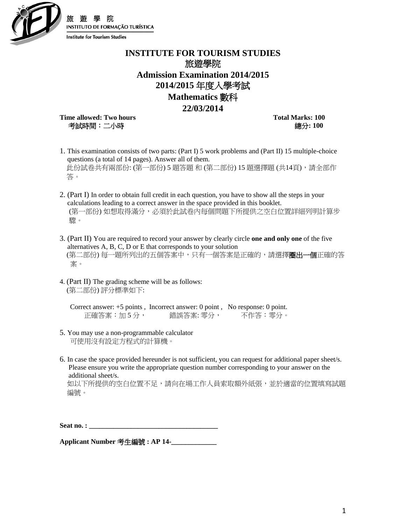

**INSTITUTE FOR TOURISM STUDIES** 旅遊學院 **Admission Examination 2014/2015 2014/2015** 年度入學考試 **Mathematics** 數科

## **22/03/2014**

**Time allowed: Two hours Total Marks: 100** 考試時間:二小時總分**: 100** 

**INSTITUTO DE FORMAÇÃO TURÍSTICA** 

- 1. This examination consists of two parts: (Part I) 5 work problems and (Part II) 15 multiple-choice questions (a total of 14 pages). Answer all of them. 此份試卷共有兩部份: (第一部份) 5 題答題 和 (第二部份) 15 題選擇題 (共14頁), 請全部作 答。
- 2. (Part I) In order to obtain full credit in each question, you have to show all the steps in your calculations leading to a correct answer in the space provided in this booklet. (第一部份) 如想取得滿分,必須於此試卷內每個問題下所提供之空白位置詳細列明計算步 驟。
- 3. (Part II) You are required to record your answer by clearly circle **one and only one** of the five alternatives A, B, C, D or E that corresponds to your solution (第二部份) 每一題所列出的五個答案中,只有一個答案是正確的,請選擇**圈出一個**正確的答 案。
- 4. (Part II) The grading scheme will be as follows: (第二部份) 評分標準如下:

Correct answer: +5 points , Incorrect answer: 0 point , No response: 0 point. 正確答案:加 5 分, 錯誤答案: 零分, 不作答:零分。

- 5. You may use a non-programmable calculator 可使用沒有設定方程式的計算機。
- 6. In case the space provided hereunder is not sufficient, you can request for additional paper sheet/s. Please ensure you write the appropriate question number corresponding to your answer on the additional sheet/s.

如以下所提供的空白位置不足,請向在場工作人員索取額外紙張,並於適當的位置填寫試題。 編號。

Seat no. :

**Applicant Number** 考生編號 **: AP 14-\_\_\_\_\_\_\_\_\_\_\_\_\_**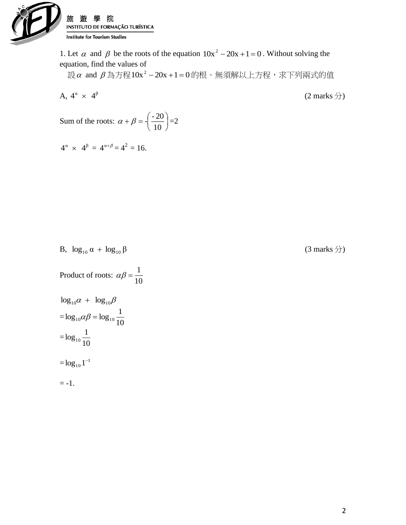

1. Let  $\alpha$  and  $\beta$  be the roots of the equation  $10x^2 - 20x + 1 = 0$ . Without solving the equation, find the values of

 $\dot{\mathcal{B}}$  and  $\beta$  為方程10x - - 20x +1 = 0的根。無須解以上方程,求下列兩式的值

A, 
$$
4^{\alpha} \times 4^{\beta}
$$
 (2 marks  $\overleftrightarrow{j}$ )  
Sum of the roots:  $\alpha + \beta = \left(\frac{-20}{10}\right) = 2$ 

$$
4^{\alpha} \times 4^{\beta} = 4^{\alpha+\beta} = 4^2 = 16.
$$

(3 marks  $\hat{\pi}$ )

B, 
$$
\log_{10} \alpha + \log_{10} \beta
$$

Product of roots: 
$$
\alpha\beta = \frac{1}{10}
$$

$$
\log_{10} \alpha + \log_{10} \beta
$$
  
=  $\log_{10} \alpha \beta = \log_{10} \frac{1}{10}$   
=  $\log_{10} \frac{1}{10}$   
=  $\log_{10} 1^{-1}$   
= -1.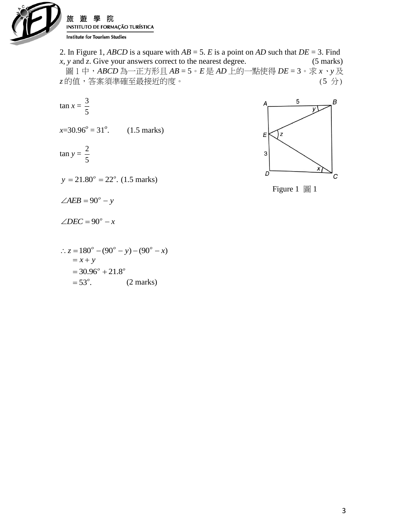

2. In Figure 1, *ABCD* is a square with *AB* = 5. *E* is a point on *AD* such that *DE* = 3. Find *x*, *y* and *z*. Give your answers correct to the nearest degree. (5 marks) 圖 1 中,*ABCD* 為一正方形且 *AB* = 5。*E* 是 *AD* 上的一點使得 *DE* = 3。求 *x*、*y* 及 z 的值,答案須準確至最接近的度。 (5 分)

$$
\tan x = \frac{3}{5}
$$
  
x=30.96<sup>o</sup> = 31<sup>o</sup>. (1.5 marks)  

$$
\tan y = \frac{2}{5}
$$



 $\angle AEB = 90^\circ - y$ 

 $\angle DEC = 90^\circ - x$ 

$$
\therefore z = 180^{\circ} - (90^{\circ} - y) - (90^{\circ} - x)
$$
  
= x + y  
= 30.96^{\circ} + 21.8^{\circ}  
= 53^{\circ}. (2 marks)



Figure 1 圖 1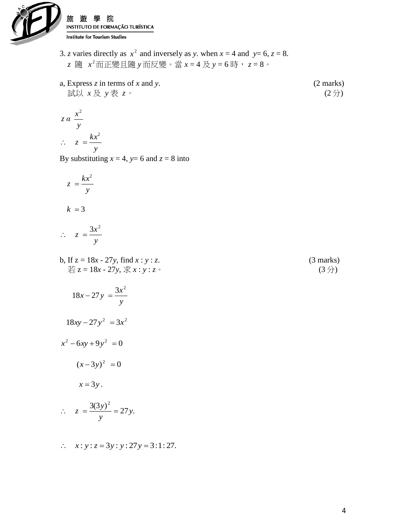

- 3. *z* varies directly as  $x^2$  and inversely as *y*. when  $x = 4$  and  $y=6$ ,  $z=8$ . *z* 隨 2 *x* 而正變且隨 *y* 而反變。當 *x* = 4 及 *y* = 6 時, *z* = 8。
- a, Express *z* in terms of *x* and *y*. (2 marks)<br>  $\exists x \downarrow x \not\equiv x$  (2 f) 試以  $x \not\!\!{E}$   $y \not\!\!{E}$   $z \circ$

$$
z \alpha \frac{x^2}{y}
$$
  

$$
\therefore z = \frac{kx^2}{y}
$$

By substituting  $x = 4$ ,  $y= 6$  and  $z = 8$  into

$$
z = \frac{kx^2}{y}
$$

$$
k = 3
$$

$$
\therefore z = \frac{3x^2}{y}
$$

b, If  $z = 18x - 27y$ , find  $x : y : z$ . (3 marks) 若  $z = 18x - 27y$ , 求  $x : y : z$ 。 (3 分)

$$
18x - 27y = \frac{3x^2}{y}
$$

$$
18xy - 27y^2 = 3x^2
$$

$$
x^2 - 6xy + 9y^2 = 0
$$

$$
(x-3y)^2 = 0
$$

$$
x=3y.
$$

$$
\therefore z = \frac{3(3y)^2}{y} = 27y.
$$

$$
\therefore
$$
 x: y: z = 3y: y: 27y = 3:1:27.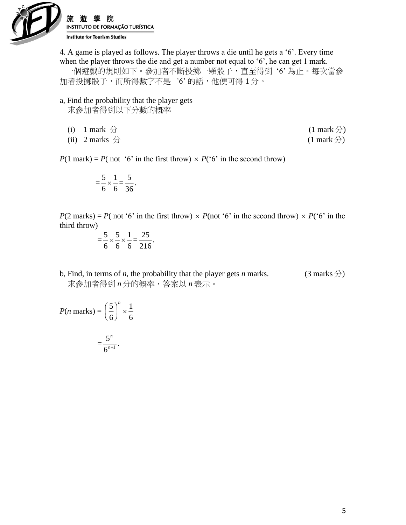

4. A game is played as follows. The player throws a die until he gets a '6'. Every time when the player throws the die and get a number not equal to '6', he can get 1 mark. 一個遊戲的規則如下。參加者不斷投擲一顆骰子,直至得到 '6' 為止。每次當參

加者投擲骰子,而所得數字不是'6'的話,他便可得1分。

- a, Find the probability that the player gets 求參加者得到以下分數的概率
	- (i) 1 mark  $\oplus$  (1 mark  $\oplus$ )
	- (ii) 2 marks  $\hat{\pi}$  (1 mark  $\hat{\pi}$ )

 $P(1 \text{ mark}) = P(\text{ not '6' in the first throw}) \times P(\text{'6' in the second throw})$ 

$$
=\frac{5}{6} \times \frac{1}{6} = \frac{5}{36}.
$$

 $P(2 \text{ marks}) = P(\text{ not '6' in the first throw}) \times P(\text{not '6' in the second throw}) \times P(\text{'6' in the second throw})$ third throw)

$$
=\frac{5}{6} \times \frac{5}{6} \times \frac{1}{6} = \frac{25}{216}.
$$

b, Find, in terms of *n*, the probability that the player gets *n* marks. (3 marks  $\hat{D}$ ) 求參加者得到 *n* 分的概率,答案以 *n* 表示。

$$
P(n \text{ marks}) = \left(\frac{5}{6}\right)^n \times \frac{1}{6}
$$

$$
= \frac{5^n}{6^{n+1}}.
$$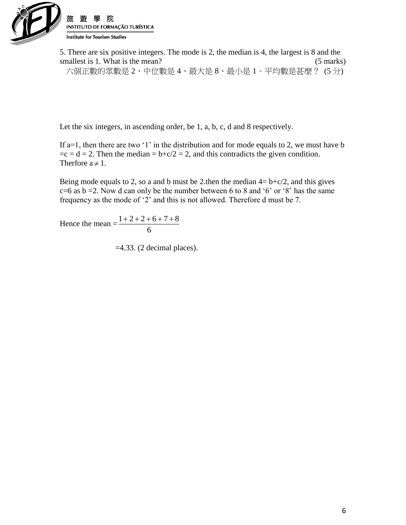

5. There are six positive integers. The mode is 2, the median is 4, the largest is 8 and the smallest is 1. What is the mean? (5 marks)

六個正數的眾數是 2、中位數是 4、最大是 8、最小是 1。平均數是甚麼? (5 分)

Let the six integers, in ascending order, be 1, a, b, c, d and 8 respectively.

If a=1, then there are two '1' in the distribution and for mode equals to 2, we must have b  $=c = d = 2$ . Then the median  $= b+c/2 = 2$ , and this contradicts the given condition. Therfore  $a \neq 1$ .

Being mode equals to 2, so a and b must be 2.then the median  $4 = b + c/2$ , and this gives  $c=6$  as  $b=2$ . Now d can only be the number between 6 to 8 and '6' or '8' has the same frequency as the mode of '2' and this is not allowed. Therefore d must be 7.

Hence the mean  $=\frac{1+2+2+2}{6}$  $1 + 2 + 2 + 6 + 7 + 8$ 

 $=4.33$ . (2 decimal places).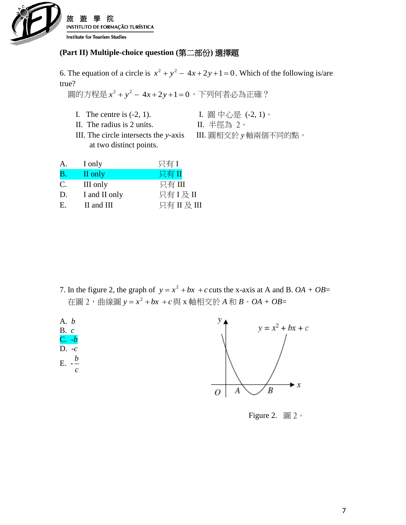

## **(Part II) Multiple-choice question (**第二部份**)** 選擇題

6. The equation of a circle is  $x^2 + y^2 - 4x + 2y + 1 = 0$ . Which of the following is/are true?

■圓的方程是 *x* <sup>2</sup> + y <sup>2</sup> − 4*x* + 2*y* +1=0。下列何者必為正確?

- I. The centre is  $(-2, 1)$ . I. 圓中心是 $(-2, 1)$ 。
	-
- II. The radius is 2 units. II. 半徑為 2。
- III. The circle intersects the *y*-axis III. 圓相交於 *y* 軸兩個不同的點。
- at two distinct points.

| А.        | I only        | 只有I      |
|-----------|---------------|----------|
| <b>B.</b> | II only       | 只有II     |
| C.        | III only      | 只有 III   |
| D.        | I and II only | 只有I及II   |
| Е.        | II and III    | 只有II及III |

7. In the figure 2, the graph of  $y = x^2 + bx + c$  cuts the x-axis at A and B. *OA* + *OB*= 在圖 2,曲線圖 *y <sup>x</sup> bx <sup>c</sup>* 2 與 x 軸相交於 *A* 和 *B*。*OA + OB*=



Figure 2. 圖 2。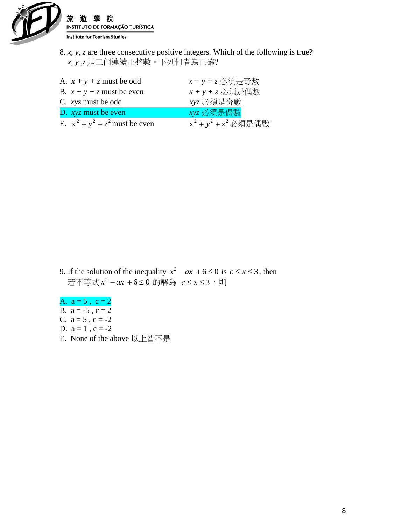

8. *x, y, z* are three consecutive positive integers. Which of the following is true? *x, y ,z* 是三個連續正整數。下列何者為正確?

| A. $x + y + z$ must be odd        | $x + y + z$ 必須是奇數       |
|-----------------------------------|-------------------------|
| B. $x + y + z$ must be even       | $x + y + z$ 必須是偶數       |
| C. xyz must be odd                | xyz 必須是奇數               |
| D. $xyz$ must be even             | xyz 必須是偶數               |
| E. $x^2 + y^2 + z^2$ must be even | $x^2 + y^2 + z^2$ 必須是偶數 |

- 9. If the solution of the inequality  $x^2 ax + 6 \le 0$  is  $c \le x \le 3$ , then 若不等式<sup>6</sup> <sup>0</sup> 2 *x ax* 的解為 *<sup>c</sup> <sup>x</sup>* 3 ,則
- A.  $a = 5$ ,  $c = 2$ B.  $a = -5$ ,  $c = 2$ C.  $a = 5$ ,  $c = -2$ D.  $a = 1$ ,  $c = -2$
- E. None of the above 以上皆不是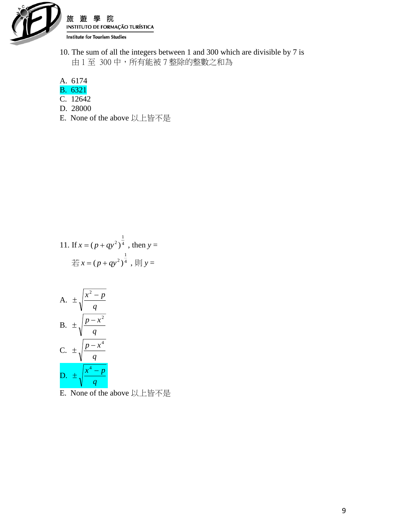

10. The sum of all the integers between 1 and 300 which are divisible by 7 is 由 1 至 300 中,所有能被 7 整除的整數之和為

A. 6174

- B. 6321
- C. 12642
- D. 28000
- E. None of the above 以上皆不是

11. If 
$$
x = (p + qy^2)^{\frac{1}{4}}
$$
, then  $y = \frac{1}{\frac{1}{4}}x = (p + qy^2)^{\frac{1}{4}}$ ,  $\frac{1}{7}\frac{1}{7}\frac{1}{y} = \frac{1}{7}$ 

A. 
$$
\pm \sqrt{\frac{x^2 - p}{q}}
$$
  
\nB.  $\pm \sqrt{\frac{p - x^2}{q}}$   
\nC.  $\pm \sqrt{\frac{p - x^4}{q}}$   
\nD.  $\pm \sqrt{\frac{x^4 - p}{q}}$ 

E. None of the above 以上皆不是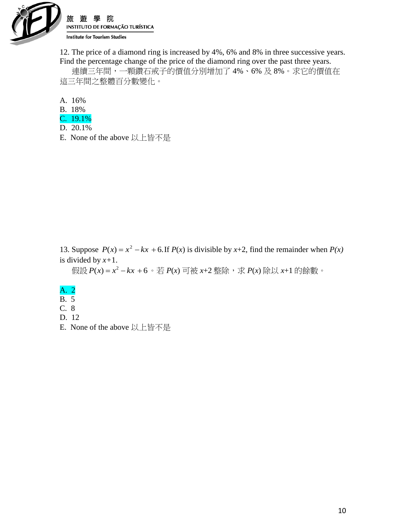

12. The price of a diamond ring is increased by 4%, 6% and 8% in three successive years. Find the percentage change of the price of the diamond ring over the past three years.

 連續三年間,一顆鑽石戒子的價值分別增加了 4%、6% 及 8%。求它的價值在 這三年間之整體百分數變化。

A. 16%

- B. 18%
- C. 19.1%
- D. 20.1%
- E. None of the above 以上皆不是

13. Suppose  $P(x) = x^2 - kx + 6$ . If  $P(x)$  is divisible by x+2, find the remainder when  $P(x)$ is divided by *x+*1.

假設 *P*(*x*)= *x* <sup>2</sup> − *kx* + 6 。若 *P*(*x*) 可被 *x*+2 整除,求 *P*(*x*) 除以 *x*+1 的餘數。

- A. 2
- B. 5
- C. 8
- D. 12
- E. None of the above 以上皆不是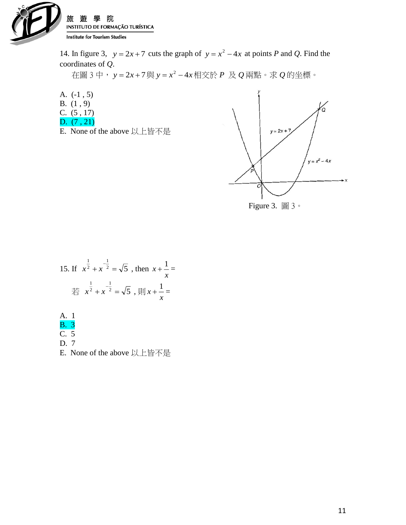

14. In figure 3,  $y = 2x + 7$  cuts the graph of  $y = x^2 - 4x$  at points *P* and *Q*. Find the coordinates of *Q*.

在圖 3 中, *y* 2*<sup>x</sup>* 7 與 *y <sup>x</sup>* 4*<sup>x</sup>* 2 相交於 *P* 及 *Q* 兩點。求 *Q* 的坐標。

A. (-1 , 5)

- B. (1 , 9)
- C. (5 , 17)
- D. (7 , 21)
- E. None of the above 以上皆不是





15. If 
$$
x^{\frac{1}{2}} + x^{-\frac{1}{2}} = \sqrt{5}
$$
, then  $x + \frac{1}{x} = \frac{1}{\sqrt{5}}$   
 $\frac{1}{\sqrt{5}} + x^{-\frac{1}{2}} = \sqrt{5}$ ,  $\frac{1}{\sqrt{5}} + \frac{1}{x} = \frac{1}{\sqrt{5}}$ 

A. 1 B. 3 C. 5

D. 7

E. None of the above 以上皆不是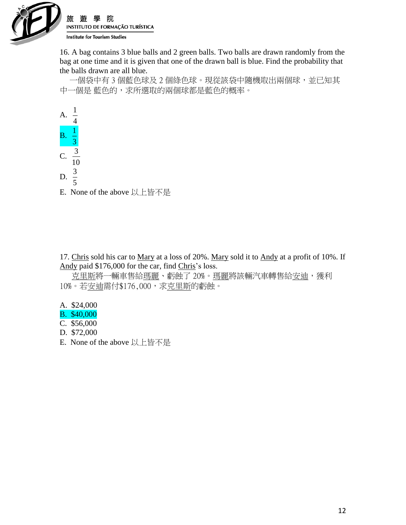

16. A bag contains 3 blue balls and 2 green balls. Two balls are drawn randomly from the bag at one time and it is given that one of the drawn ball is blue. Find the probability that the balls drawn are all blue.

 一個袋中有 3 個藍色球及 2 個綠色球。現從該袋中隨機取出兩個球,並已知其 中一個是 藍色的,求所選取的兩個球都是藍色的概率。



17. Chris sold his car to Mary at a loss of 20%. Mary sold it to Andy at a profit of 10%. If Andy paid \$176,000 for the car, find Chris's loss.

克里斯將一輛車售給<u>瑪麗</u>、虧蝕了 20%。瑪麗將該輛汽車轉售給安迪,獲利 10%。若安迪需付\$176,000,求克里斯的虧蝕。

- A. \$24,000
- B. \$40,000
- C. \$56,000
- D. \$72,000
- E. None of the above 以上皆不是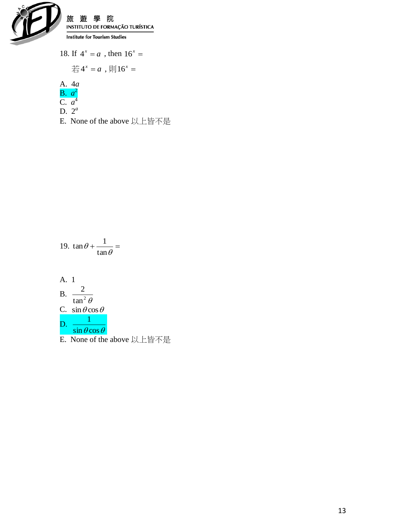

18. If  $4^x = a$ , then  $16^x = a$ 

$$
\stackrel{+}{\leftrightarrow} 4^x = a , \, \text{H} 16^x =
$$

A. 
$$
4a
$$

- B.  $a^2$
- C. *a* 4 D.  $2^a$
- E. None of the above 以上皆不是

19. 
$$
\tan \theta + \frac{1}{\tan \theta} =
$$
  
\nA. 1  
\nB.  $\frac{2}{\tan^2 \theta}$   
\nC.  $\sin \theta \cos \theta$   
\nD.  $\frac{1}{\sin \theta \cos \theta}$ 

E. None of the above 以上皆不是